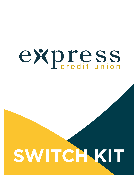# **SWITCH KIT**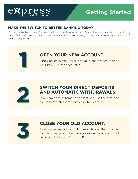## **Getting Started**

#### **MAKE THE SWITCH TO BETTER BANKING TODAY!**

You can make the move to Express Credit Union in three easy steps. Everything you'll need is provided in this handy Switch Kit. We can't wait to welcome you to Express, where you'll enjoy a better experience for all of your banking needs!



## **OPEN YOUR NEW ACCOUNT.**

**14 Apply online in minutes or visit your local branch to open your new Express account(s).** 



### **SWITCH YOUR DIRECT DEPOSITS AND AUTOMATIC WITHDRAWALS.**

If you have any automatic transactions, use the provided forms to switch them seamlessly to Express.



## **CLOSE YOUR OLD ACCOUNT.**

Now you're ready to switch. Simply fill out the provided form to close your old account(s). Any remaining account balance will be transferred to Express.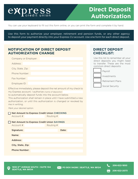## **Direct Deposit Authorization**

You can use your keyboard to fill out this form online, or you can print the form and complete it by hand.

Use this form to authorize your employer, retirement and pension funds, or any other agency to deposit your payment directly into your Express CU account. Use one form for each direct deposit.

#### **NOTIFICATION OF DIRECT DEPOSIT AUTHORIZATION CHANGE**

| Company or Employer:                                                                                           |  |  |  |  |
|----------------------------------------------------------------------------------------------------------------|--|--|--|--|
| Address:                                                                                                       |  |  |  |  |
| City, State, Zip:                                                                                              |  |  |  |  |
| Phone Number:                                                                                                  |  |  |  |  |
| Fax Number:                                                                                                    |  |  |  |  |
| Employee ID:                                                                                                   |  |  |  |  |
| * 2008년 - 대한민국의 대한민국의 대한민국의 대한민국의 대한민국의 대한민국의 대한민국의 대한민국의 대한민국의 대한민국의 대한민국의 대한민국의 대한민국의 대한민국의 대한민국의 대한민국의 대한민국 |  |  |  |  |

Effective immediately, please deposit the net amount of my check to my Express account. I authorize *(name of depositor)*

to automatically deposit funds into the account below.

This authorization shall remain in place until I have submitted a new authorization, or until this authorization is changed or revoked by me in writing.

*Mark your desired option.*

|                      |  | <b>Net Amount to Express Credit Union CHECKING</b> |       |  |
|----------------------|--|----------------------------------------------------|-------|--|
| Account #            |  | Routing #                                          |       |  |
|                      |  | <b>Net Amount to Express Credit Union SAVINGS</b>  |       |  |
| Account #            |  | Routing #                                          |       |  |
| Signature:           |  |                                                    | Date: |  |
| Name:                |  |                                                    |       |  |
| Address:             |  |                                                    |       |  |
| City, State, Zip:    |  |                                                    |       |  |
| <b>Phone Number:</b> |  |                                                    |       |  |

#### **DIRECT DEPOSIT CHECKLIST:**

Use this list to remember all your direct deposits you might need to transfer. These are the most common direct deposits:



**PO BOX 94286 | SEATTLE, WA 98124**

**206-622-1850 206-622-2073**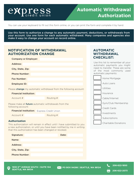## **Automatic Withdrawal Authorization**

You can use your keyboard to fill out this form online, or you can print the form and complete it by hand.

Use this form to authorize a change to any automatic payment, deductions, or withdrawals from your account. Use one form for each automatic withdrawal. Many companies and agencies also make it easy to change your account on record online.

#### **NOTIFICATION OF WITHDRAWAL AUTHORIZATION CHANGE**

| <b>Company or Employer:</b>                                              |           |  |  |  |
|--------------------------------------------------------------------------|-----------|--|--|--|
| Address:                                                                 |           |  |  |  |
| City, State, Zip:                                                        |           |  |  |  |
| <b>Phone Number:</b>                                                     |           |  |  |  |
| <b>Fax Number:</b>                                                       |           |  |  |  |
| <b>Employee ID:</b>                                                      |           |  |  |  |
| Please <b>change</b> my automatic withdrawal from the following account: |           |  |  |  |
| <b>Financial Institution:</b>                                            |           |  |  |  |
| Account #                                                                | Routing # |  |  |  |
|                                                                          |           |  |  |  |

Please make all **future** automatic withdrawals from the following account:

|           | <b>Financial Institution:</b> Express Credit Union |  |  |  |
|-----------|----------------------------------------------------|--|--|--|
|           |                                                    |  |  |  |
| Account # | Routing #                                          |  |  |  |

#### **Authorization**

This authorization will remain in effect until I have submitted to you a new authorization, or until you have been notified by me in writing that this authorization has been changed or revoked.

| Signature:           | Date: |
|----------------------|-------|
| Name:                |       |
| <b>Address:</b>      |       |
| City, State, Zip:    |       |
| <b>Phone Number:</b> |       |

#### **AUTOMATIC WITHDRAWAL CHECKLIST:**

Use this list to remember all your automatic payments you might need to transfer. These are some of the most commonly used automatic payments:

|  | Home Mortgage               |
|--|-----------------------------|
|  | Auto Loans                  |
|  | Utilities                   |
|  | Insurance                   |
|  | Cable/Internet              |
|  | Gym/Club Membership         |
|  | Credit Cards                |
|  | Investments                 |
|  | Subscriptions               |
|  | <b>Charitable Donations</b> |

**206-622-1850 206-622-2073**